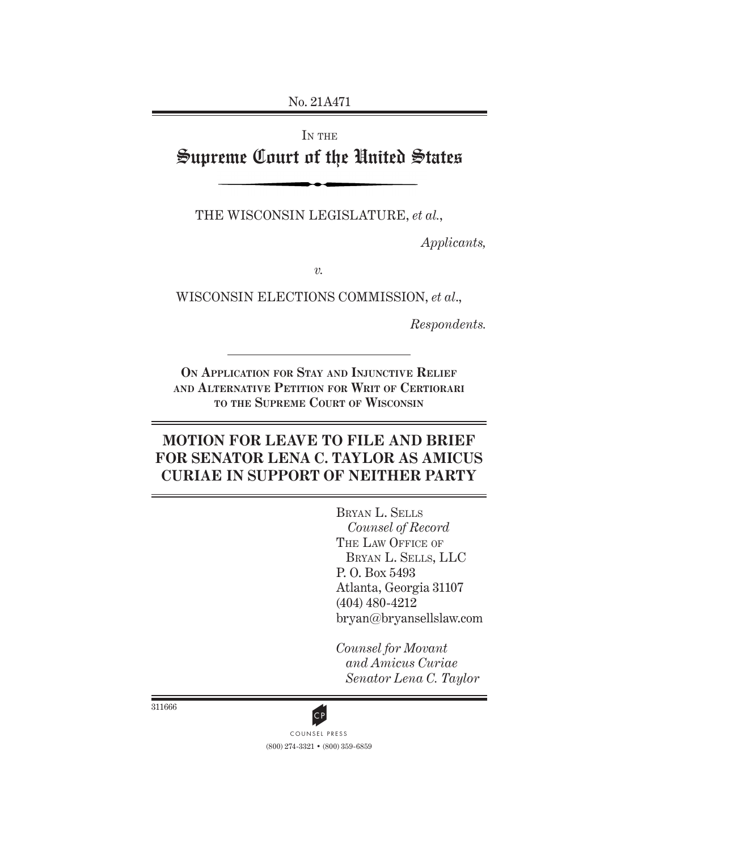No. 21A471

# IN THE Supreme Court of the United States

THE WISCONSIN LEGISLATURE, *et al.*,

*Applicants,*

*v.*

WISCONSIN ELECTIONS COMMISSION, *et al*.,

*Respondents.*

**On Application for Stay and Injunctive Relief and Alternative Petition for Writ of Certiorari to the Supreme Court of Wisconsin**

## **MOTION FOR LEAVE TO FILE AND BRIEF FOR SENATOR LENA C. TAYLOR AS AMICUS CURIAE IN SUPPORT OF NEITHER PARTY**

Bryan L. Sells *Counsel of Record*  THE LAW OFFICE OF Bryan L. Sells, LLC P. O. Box 5493 Atlanta, Georgia 31107 (404) 480-4212 bryan@bryansellslaw.com

*Counsel for Movant and Amicus Curiae Senator Lena C. Taylor*

311666



(800) 274-3321 • (800) 359-6859 CP<br>COUNSEL PRESS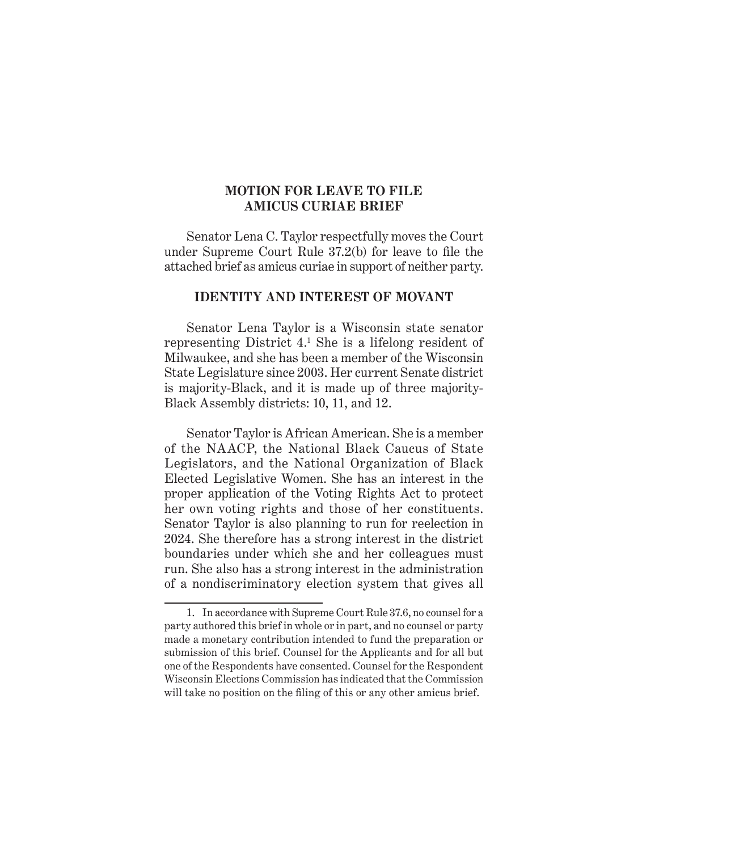#### **MOTION FOR LEAVE TO FILE AMICUS CURIAE BRIEF**

Senator Lena C. Taylor respectfully moves the Court under Supreme Court Rule 37.2(b) for leave to file the attached brief as amicus curiae in support of neither party.

#### **IDENTITY AND INTEREST OF MOVANT**

Senator Lena Taylor is a Wisconsin state senator representing District 4.1 She is a lifelong resident of Milwaukee, and she has been a member of the Wisconsin State Legislature since 2003. Her current Senate district is majority-Black, and it is made up of three majority-Black Assembly districts: 10, 11, and 12.

Senator Taylor is African American. She is a member of the NAACP, the National Black Caucus of State Legislators, and the National Organization of Black Elected Legislative Women. She has an interest in the proper application of the Voting Rights Act to protect her own voting rights and those of her constituents. Senator Taylor is also planning to run for reelection in 2024. She therefore has a strong interest in the district boundaries under which she and her colleagues must run. She also has a strong interest in the administration of a nondiscriminatory election system that gives all

<sup>1.</sup> In accordance with Supreme Court Rule 37.6, no counsel for a party authored this brief in whole or in part, and no counsel or party made a monetary contribution intended to fund the preparation or submission of this brief. Counsel for the Applicants and for all but one of the Respondents have consented. Counsel for the Respondent Wisconsin Elections Commission has indicated that the Commission will take no position on the filing of this or any other amicus brief.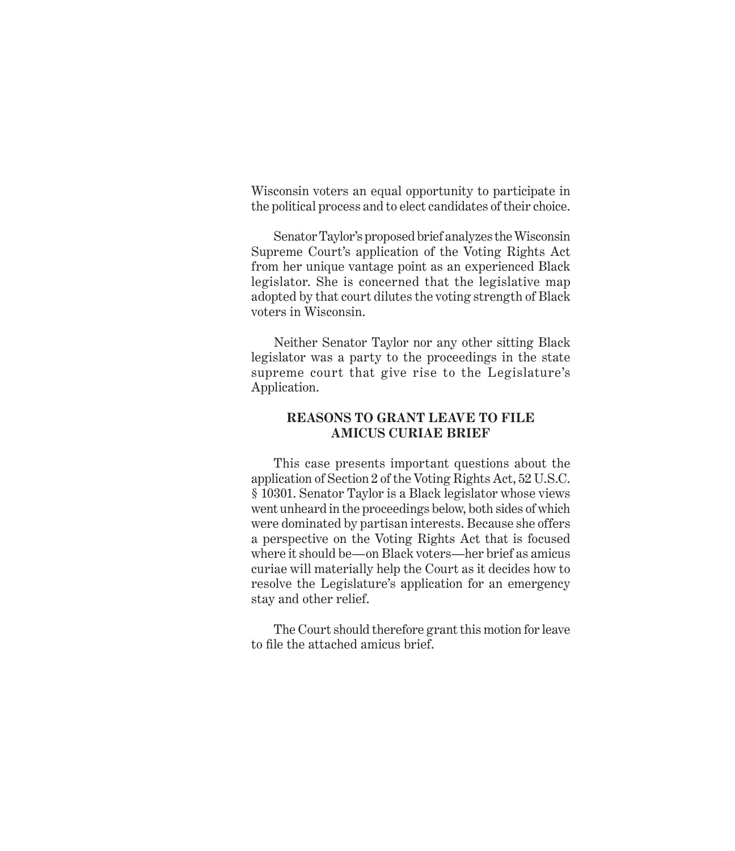Wisconsin voters an equal opportunity to participate in the political process and to elect candidates of their choice.

Senator Taylor's proposed brief analyzes the Wisconsin Supreme Court's application of the Voting Rights Act from her unique vantage point as an experienced Black legislator. She is concerned that the legislative map adopted by that court dilutes the voting strength of Black voters in Wisconsin.

Neither Senator Taylor nor any other sitting Black legislator was a party to the proceedings in the state supreme court that give rise to the Legislature's Application.

#### **REASONS TO GRANT LEAVE TO FILE AMICUS CURIAE BRIEF**

This case presents important questions about the application of Section 2 of the Voting Rights Act, 52 U.S.C. § 10301. Senator Taylor is a Black legislator whose views went unheard in the proceedings below, both sides of which were dominated by partisan interests. Because she offers a perspective on the Voting Rights Act that is focused where it should be—on Black voters—her brief as amicus curiae will materially help the Court as it decides how to resolve the Legislature's application for an emergency stay and other relief.

The Court should therefore grant this motion for leave to file the attached amicus brief.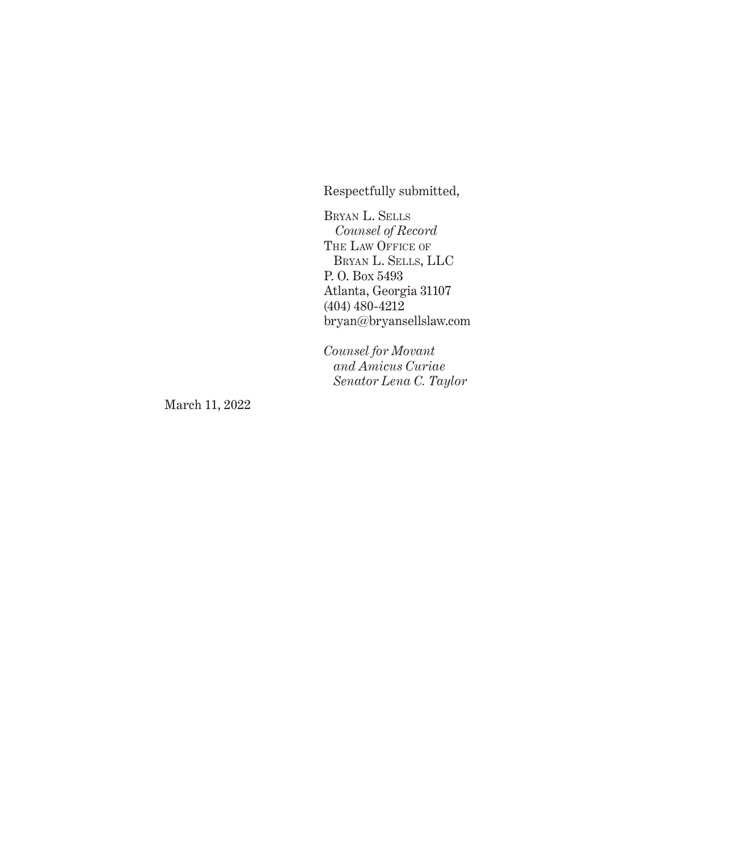Respectfully submitted,

Bryan L. Sells *Counsel of Record*  THE LAW OFFICE OF Bryan L. Sells, LLC P. O. Box 5493 Atlanta, Georgia 31107 (404) 480-4212 bryan@bryansellslaw.com

*Counsel for Movant and Amicus Curiae Senator Lena C. Taylor*

March 11, 2022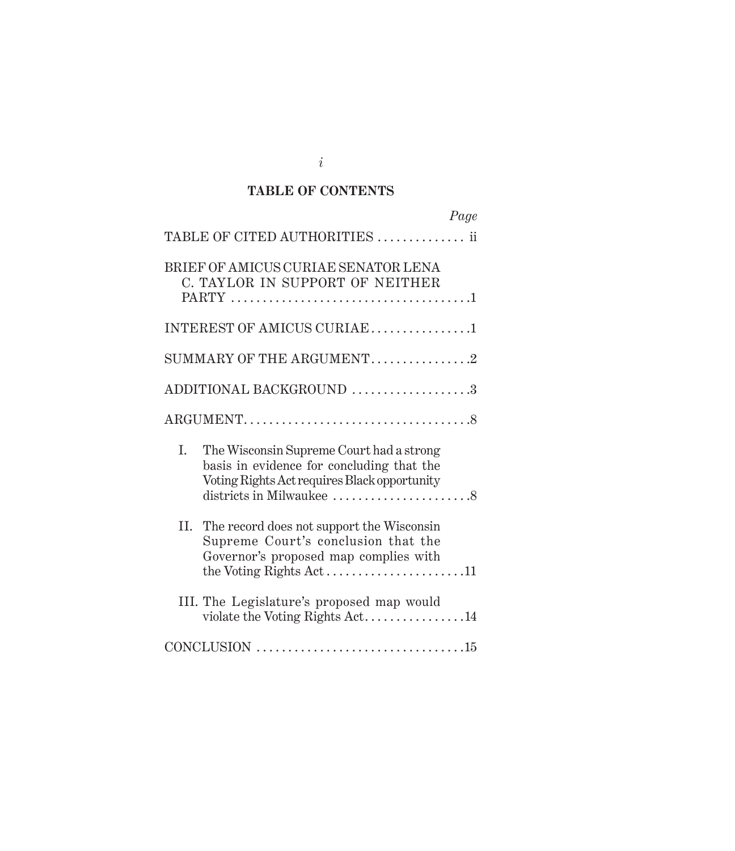## **TABLE OF CONTENTS**

|     | Page                                                                                                                                  |
|-----|---------------------------------------------------------------------------------------------------------------------------------------|
|     | TABLE OF CITED AUTHORITIES  ii                                                                                                        |
|     | BRIEF OF AMICUS CURIAE SENATOR LENA<br>C. TAYLOR IN SUPPORT OF NEITHER                                                                |
|     | INTEREST OF AMICUS CURIAE1                                                                                                            |
|     | SUMMARY OF THE ARGUMENT2                                                                                                              |
|     | ADDITIONAL BACKGROUND3                                                                                                                |
|     |                                                                                                                                       |
| L.  | The Wisconsin Supreme Court had a strong<br>basis in evidence for concluding that the<br>Voting Rights Act requires Black opportunity |
| II. | The record does not support the Wisconsin<br>Supreme Court's conclusion that the<br>Governor's proposed map complies with             |
|     | III. The Legislature's proposed map would<br>violate the Voting Rights Act14                                                          |
|     |                                                                                                                                       |

*i*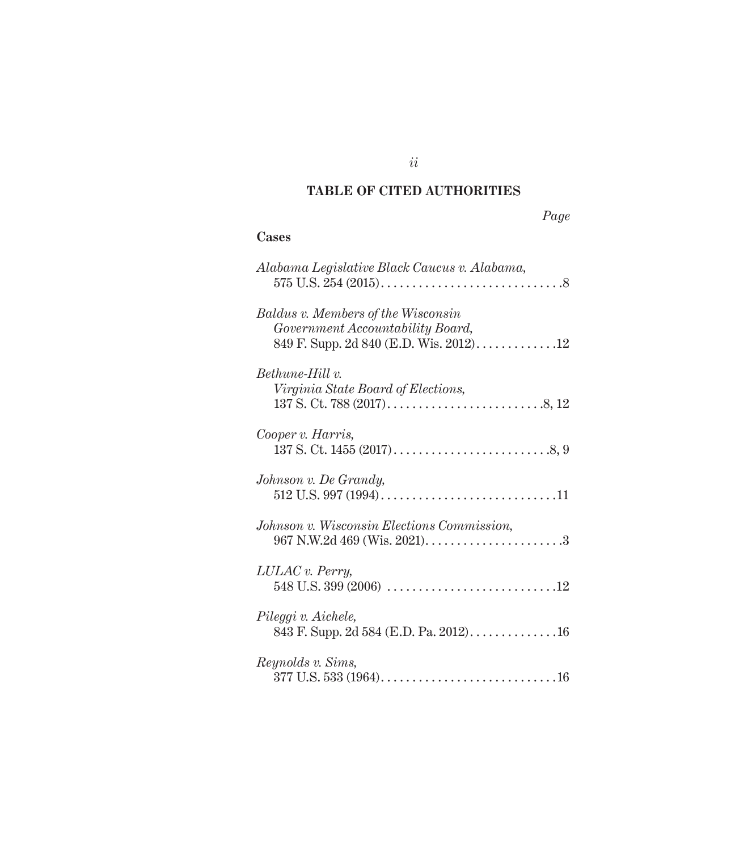## **TABLE OF CITED AUTHORITIES**

## **Cases**

| Alabama Legislative Black Caucus v. Alabama,                                                                            |
|-------------------------------------------------------------------------------------------------------------------------|
| <b>Baldus v. Members of the Wisconsin</b><br>Government Accountability Board,<br>849 F. Supp. 2d 840 (E.D. Wis. 2012)12 |
| Bethune-Hill v.<br>Virginia State Board of Elections,                                                                   |
| Cooper v. Harris,                                                                                                       |
| Johnson v. De Grandy,                                                                                                   |
| Johnson v. Wisconsin Elections Commission,                                                                              |
| LULAC v. Perry,                                                                                                         |
| Pileggi v. Aichele,                                                                                                     |
| <i>Reynolds v. Sims,</i>                                                                                                |

*ii*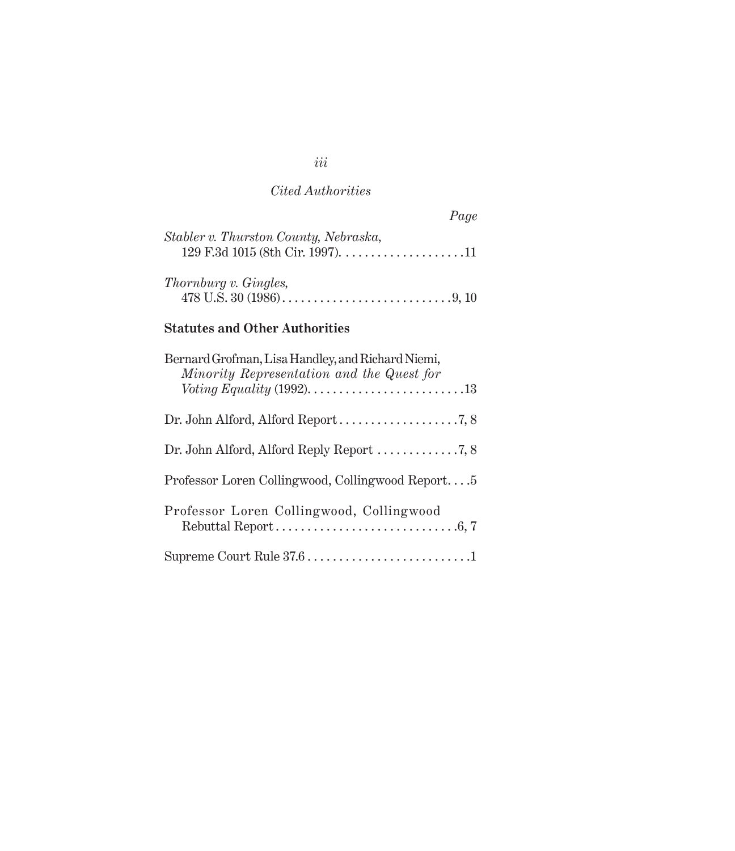## *Cited Authorities*

|                                       | Page |
|---------------------------------------|------|
| Stabler v. Thurston County, Nebraska, |      |
| <i>Thornburg v. Gingles,</i>          |      |

## **Statutes and Other Authorities**

| Bernard Grofman, Lisa Handley, and Richard Niemi,<br>Minority Representation and the Quest for |
|------------------------------------------------------------------------------------------------|
|                                                                                                |
| Dr. John Alford, Alford Reply Report $\ldots \ldots \ldots \ldots$ 7, 8                        |
| Professor Loren Collingwood, Collingwood Report5                                               |
| Professor Loren Collingwood, Collingwood                                                       |
|                                                                                                |

*iii*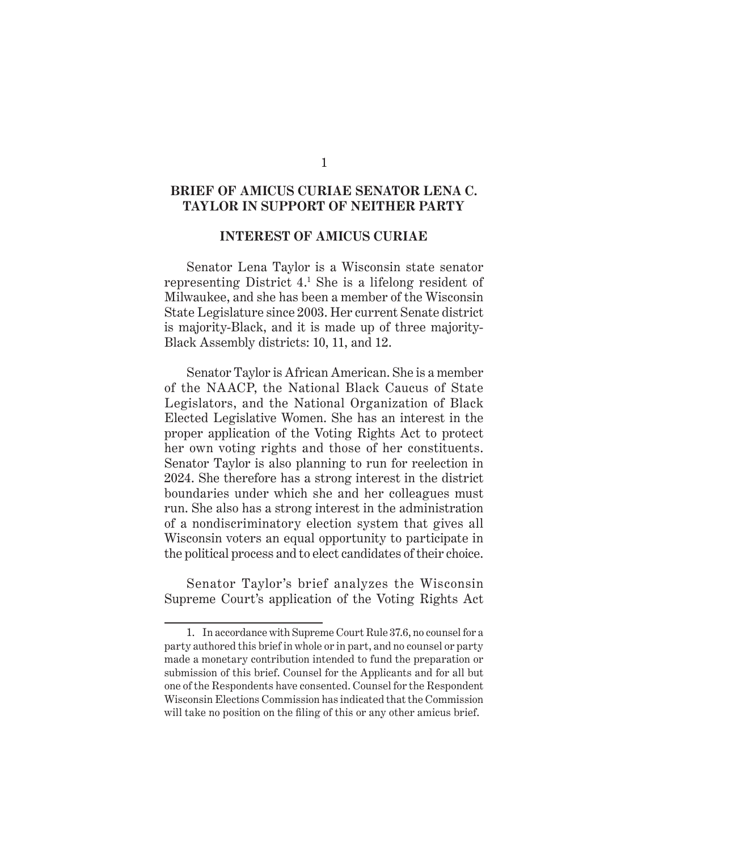#### **BRIEF OF AMICUS CURIAE SENATOR LENA C. TAYLOR IN SUPPORT OF NEITHER PARTY**

#### **INTEREST OF AMICUS CURIAE**

Senator Lena Taylor is a Wisconsin state senator representing District 4.1 She is a lifelong resident of Milwaukee, and she has been a member of the Wisconsin State Legislature since 2003. Her current Senate district is majority-Black, and it is made up of three majority-Black Assembly districts: 10, 11, and 12.

Senator Taylor is African American. She is a member of the NAACP, the National Black Caucus of State Legislators, and the National Organization of Black Elected Legislative Women. She has an interest in the proper application of the Voting Rights Act to protect her own voting rights and those of her constituents. Senator Taylor is also planning to run for reelection in 2024. She therefore has a strong interest in the district boundaries under which she and her colleagues must run. She also has a strong interest in the administration of a nondiscriminatory election system that gives all Wisconsin voters an equal opportunity to participate in the political process and to elect candidates of their choice.

Senator Taylor's brief analyzes the Wisconsin Supreme Court's application of the Voting Rights Act

<sup>1.</sup> In accordance with Supreme Court Rule 37.6, no counsel for a party authored this brief in whole or in part, and no counsel or party made a monetary contribution intended to fund the preparation or submission of this brief. Counsel for the Applicants and for all but one of the Respondents have consented. Counsel for the Respondent Wisconsin Elections Commission has indicated that the Commission will take no position on the filing of this or any other amicus brief.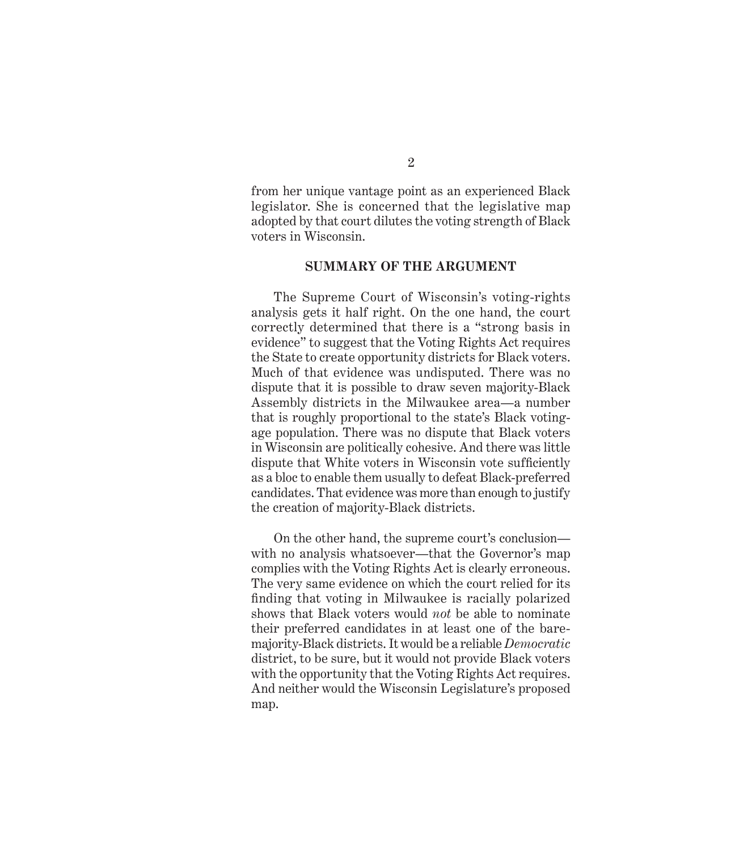from her unique vantage point as an experienced Black legislator. She is concerned that the legislative map adopted by that court dilutes the voting strength of Black voters in Wisconsin.

#### **SUMMARY OF THE ARGUMENT**

The Supreme Court of Wisconsin's voting-rights analysis gets it half right. On the one hand, the court correctly determined that there is a "strong basis in evidence" to suggest that the Voting Rights Act requires the State to create opportunity districts for Black voters. Much of that evidence was undisputed. There was no dispute that it is possible to draw seven majority-Black Assembly districts in the Milwaukee area—a number that is roughly proportional to the state's Black votingage population. There was no dispute that Black voters in Wisconsin are politically cohesive. And there was little dispute that White voters in Wisconsin vote sufficiently as a bloc to enable them usually to defeat Black-preferred candidates. That evidence was more than enough to justify the creation of majority-Black districts.

On the other hand, the supreme court's conclusion with no analysis whatsoever—that the Governor's map complies with the Voting Rights Act is clearly erroneous. The very same evidence on which the court relied for its finding that voting in Milwaukee is racially polarized shows that Black voters would *not* be able to nominate their preferred candidates in at least one of the baremajority-Black districts. It would be a reliable *Democratic* district, to be sure, but it would not provide Black voters with the opportunity that the Voting Rights Act requires. And neither would the Wisconsin Legislature's proposed map.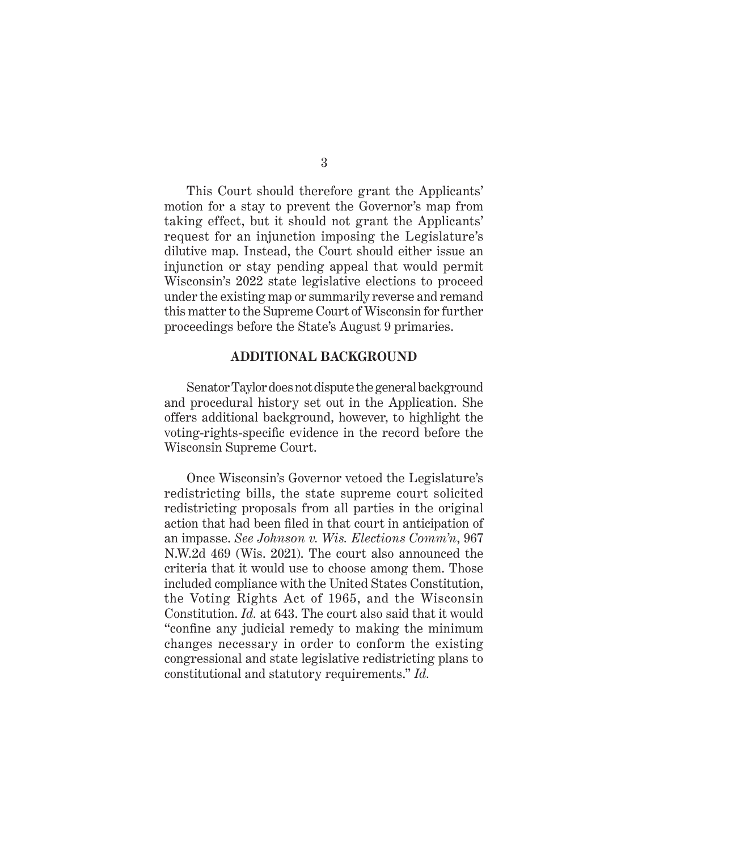This Court should therefore grant the Applicants' motion for a stay to prevent the Governor's map from taking effect, but it should not grant the Applicants' request for an injunction imposing the Legislature's dilutive map. Instead, the Court should either issue an injunction or stay pending appeal that would permit Wisconsin's 2022 state legislative elections to proceed under the existing map or summarily reverse and remand this matter to the Supreme Court of Wisconsin for further proceedings before the State's August 9 primaries.

#### **ADDITIONAL BACKGROUND**

Senator Taylor does not dispute the general background and procedural history set out in the Application. She offers additional background, however, to highlight the voting-rights-specific evidence in the record before the Wisconsin Supreme Court.

Once Wisconsin's Governor vetoed the Legislature's redistricting bills, the state supreme court solicited redistricting proposals from all parties in the original action that had been filed in that court in anticipation of an impasse. *See Johnson v. Wis. Elections Comm'n*, 967 N.W.2d 469 (Wis. 2021). The court also announced the criteria that it would use to choose among them. Those included compliance with the United States Constitution, the Voting Rights Act of 1965, and the Wisconsin Constitution. *Id.* at 643. The court also said that it would "confine any judicial remedy to making the minimum changes necessary in order to conform the existing congressional and state legislative redistricting plans to constitutional and statutory requirements." *Id.*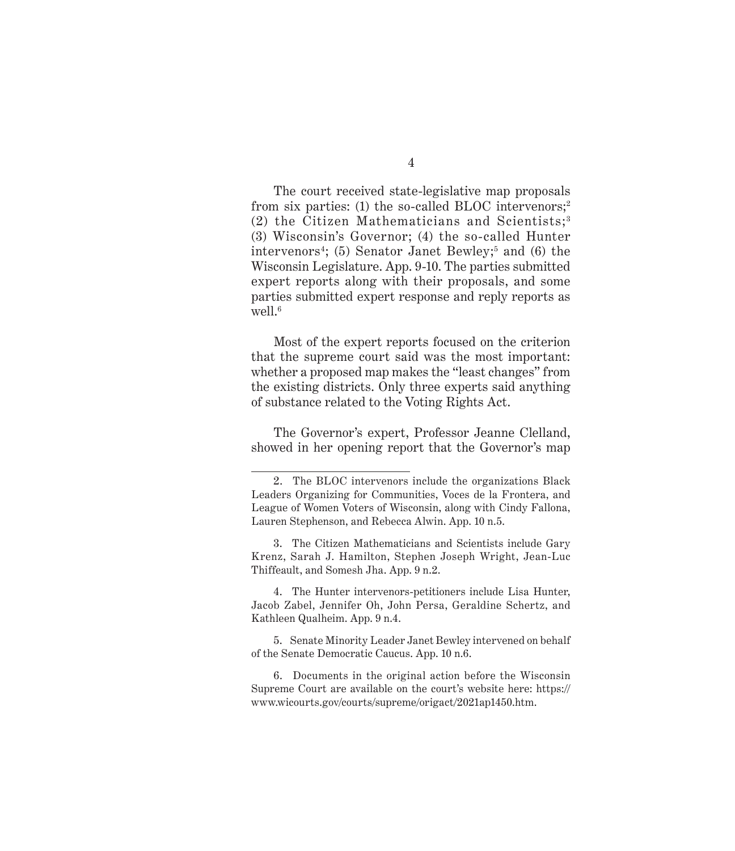The court received state-legislative map proposals from six parties: (1) the so-called BLOC intervenors;<sup>2</sup>  $(2)$  the Citizen Mathematicians and Scientists;<sup>3</sup> (3) Wisconsin's Governor; (4) the so-called Hunter intervenors4 ; (5) Senator Janet Bewley;5 and (6) the Wisconsin Legislature. App. 9-10. The parties submitted expert reports along with their proposals, and some parties submitted expert response and reply reports as well. $6$ 

Most of the expert reports focused on the criterion that the supreme court said was the most important: whether a proposed map makes the "least changes" from the existing districts. Only three experts said anything of substance related to the Voting Rights Act.

The Governor's expert, Professor Jeanne Clelland, showed in her opening report that the Governor's map

4. The Hunter intervenors-petitioners include Lisa Hunter, Jacob Zabel, Jennifer Oh, John Persa, Geraldine Schertz, and Kathleen Qualheim. App. 9 n.4.

5. Senate Minority Leader Janet Bewley intervened on behalf of the Senate Democratic Caucus. App. 10 n.6.

4

<sup>2.</sup> The BLOC intervenors include the organizations Black Leaders Organizing for Communities, Voces de la Frontera, and League of Women Voters of Wisconsin, along with Cindy Fallona, Lauren Stephenson, and Rebecca Alwin. App. 10 n.5.

<sup>3.</sup> The Citizen Mathematicians and Scientists include Gary Krenz, Sarah J. Hamilton, Stephen Joseph Wright, Jean-Luc Thiffeault, and Somesh Jha. App. 9 n.2.

<sup>6.</sup> Documents in the original action before the Wisconsin Supreme Court are available on the court's website here: https:// www.wicourts.gov/courts/supreme/origact/2021ap1450.htm.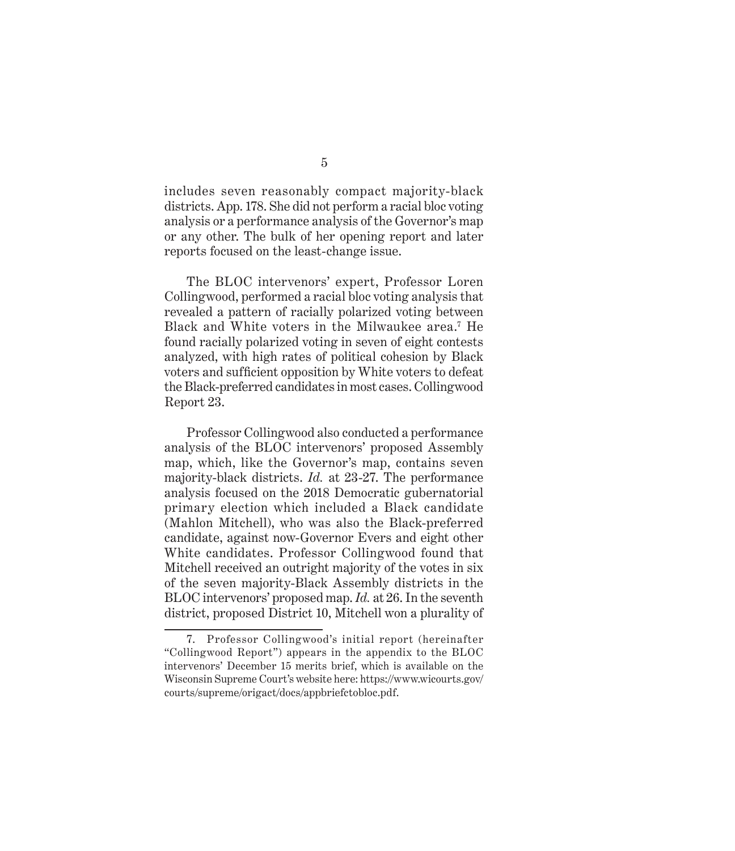includes seven reasonably compact majority-black districts. App. 178. She did not perform a racial bloc voting analysis or a performance analysis of the Governor's map or any other. The bulk of her opening report and later reports focused on the least-change issue.

The BLOC intervenors' expert, Professor Loren Collingwood, performed a racial bloc voting analysis that revealed a pattern of racially polarized voting between Black and White voters in the Milwaukee area.7 He found racially polarized voting in seven of eight contests analyzed, with high rates of political cohesion by Black voters and sufficient opposition by White voters to defeat the Black-preferred candidates in most cases. Collingwood Report 23.

Professor Collingwood also conducted a performance analysis of the BLOC intervenors' proposed Assembly map, which, like the Governor's map, contains seven majority-black districts. *Id.* at 23-27. The performance analysis focused on the 2018 Democratic gubernatorial primary election which included a Black candidate (Mahlon Mitchell), who was also the Black-preferred candidate, against now-Governor Evers and eight other White candidates. Professor Collingwood found that Mitchell received an outright majority of the votes in six of the seven majority-Black Assembly districts in the BLOC intervenors' proposed map. *Id.* at 26. In the seventh district, proposed District 10, Mitchell won a plurality of

<sup>7.</sup> Professor Collingwood's initial report (hereinafter "Collingwood Report") appears in the appendix to the BLOC intervenors' December 15 merits brief, which is available on the Wisconsin Supreme Court's website here: https://www.wicourts.gov/ courts/supreme/origact/docs/appbriefctobloc.pdf.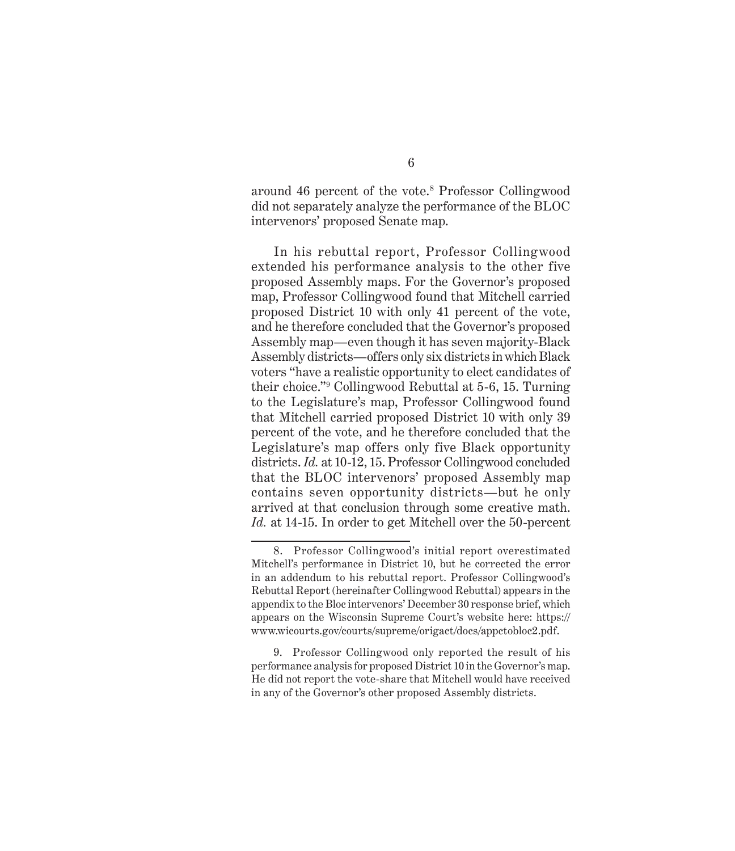around 46 percent of the vote.8 Professor Collingwood did not separately analyze the performance of the BLOC intervenors' proposed Senate map.

In his rebuttal report, Professor Collingwood extended his performance analysis to the other five proposed Assembly maps. For the Governor's proposed map, Professor Collingwood found that Mitchell carried proposed District 10 with only 41 percent of the vote, and he therefore concluded that the Governor's proposed Assembly map—even though it has seven majority-Black Assembly districts—offers only six districts in which Black voters "have a realistic opportunity to elect candidates of their choice."9 Collingwood Rebuttal at 5-6, 15. Turning to the Legislature's map, Professor Collingwood found that Mitchell carried proposed District 10 with only 39 percent of the vote, and he therefore concluded that the Legislature's map offers only five Black opportunity districts. *Id.* at 10-12, 15. Professor Collingwood concluded that the BLOC intervenors' proposed Assembly map contains seven opportunity districts—but he only arrived at that conclusion through some creative math. *Id.* at 14-15. In order to get Mitchell over the 50-percent

<sup>8.</sup> Professor Collingwood's initial report overestimated Mitchell's performance in District 10, but he corrected the error in an addendum to his rebuttal report. Professor Collingwood's Rebuttal Report (hereinafter Collingwood Rebuttal) appears in the appendix to the Bloc intervenors' December 30 response brief, which appears on the Wisconsin Supreme Court's website here: https:// www.wicourts.gov/courts/supreme/origact/docs/appctobloc2.pdf.

<sup>9.</sup> Professor Collingwood only reported the result of his performance analysis for proposed District 10 in the Governor's map. He did not report the vote-share that Mitchell would have received in any of the Governor's other proposed Assembly districts.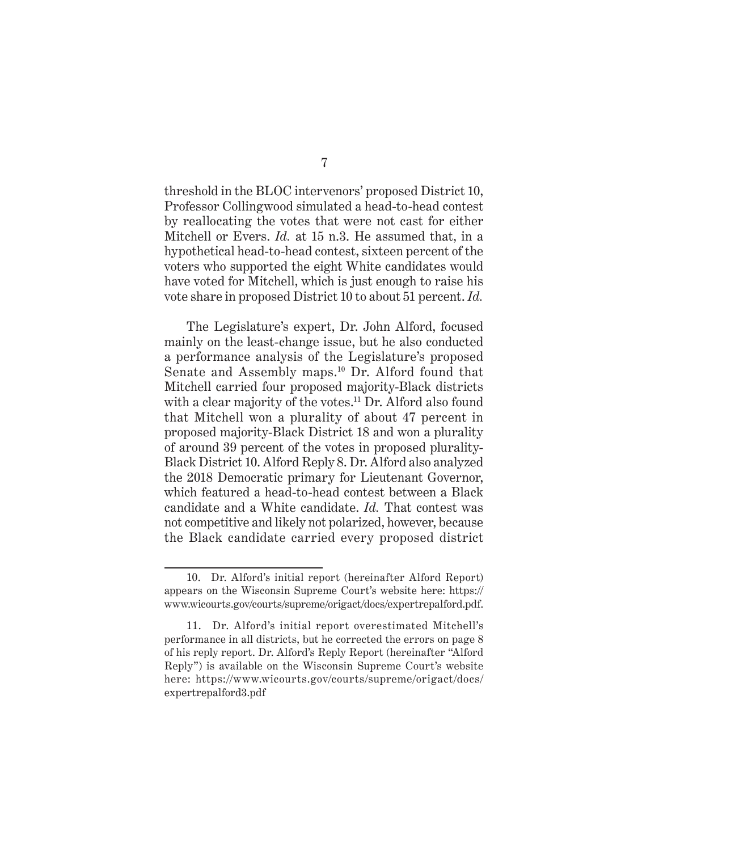threshold in the BLOC intervenors' proposed District 10, Professor Collingwood simulated a head-to-head contest by reallocating the votes that were not cast for either Mitchell or Evers. *Id.* at 15 n.3. He assumed that, in a hypothetical head-to-head contest, sixteen percent of the voters who supported the eight White candidates would have voted for Mitchell, which is just enough to raise his vote share in proposed District 10 to about 51 percent. *Id.*

The Legislature's expert, Dr. John Alford, focused mainly on the least-change issue, but he also conducted a performance analysis of the Legislature's proposed Senate and Assembly maps.10 Dr. Alford found that Mitchell carried four proposed majority-Black districts with a clear majority of the votes.<sup>11</sup> Dr. Alford also found that Mitchell won a plurality of about 47 percent in proposed majority-Black District 18 and won a plurality of around 39 percent of the votes in proposed plurality-Black District 10. Alford Reply 8. Dr. Alford also analyzed the 2018 Democratic primary for Lieutenant Governor, which featured a head-to-head contest between a Black candidate and a White candidate. *Id.* That contest was not competitive and likely not polarized, however, because the Black candidate carried every proposed district

<sup>10.</sup> Dr. Alford's initial report (hereinafter Alford Report) appears on the Wisconsin Supreme Court's website here: https:// www.wicourts.gov/courts/supreme/origact/docs/expertrepalford.pdf.

<sup>11.</sup> Dr. Alford's initial report overestimated Mitchell's performance in all districts, but he corrected the errors on page 8 of his reply report. Dr. Alford's Reply Report (hereinafter "Alford Reply") is available on the Wisconsin Supreme Court's website here: https://www.wicourts.gov/courts/supreme/origact/docs/ expertrepalford3.pdf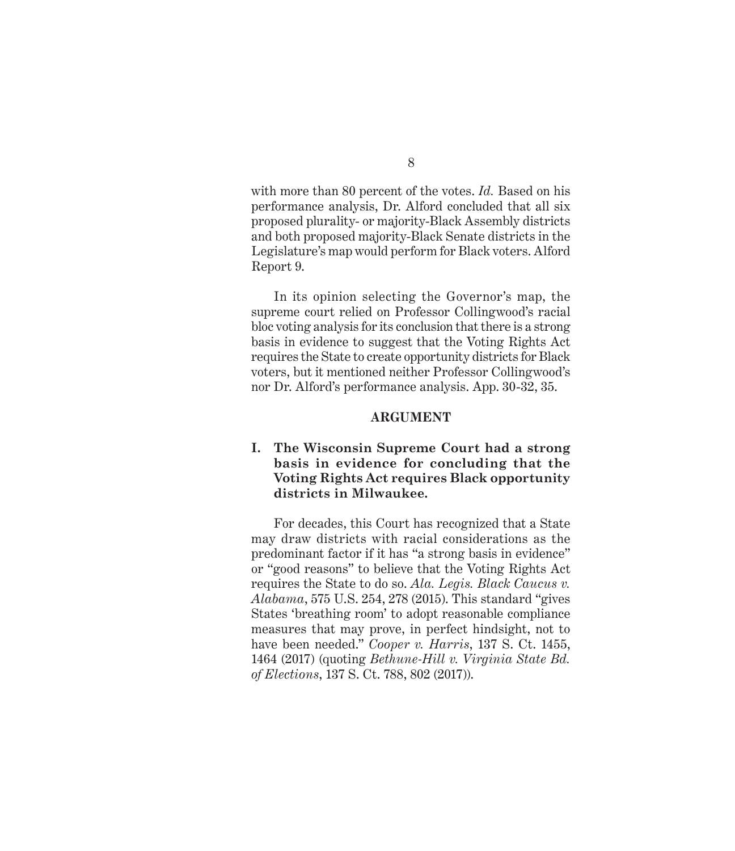with more than 80 percent of the votes. *Id.* Based on his performance analysis, Dr. Alford concluded that all six proposed plurality- or majority-Black Assembly districts and both proposed majority-Black Senate districts in the Legislature's map would perform for Black voters. Alford Report 9.

In its opinion selecting the Governor's map, the supreme court relied on Professor Collingwood's racial bloc voting analysis for its conclusion that there is a strong basis in evidence to suggest that the Voting Rights Act requires the State to create opportunity districts for Black voters, but it mentioned neither Professor Collingwood's nor Dr. Alford's performance analysis. App. 30-32, 35.

#### **ARGUMENT**

#### **I. The Wisconsin Supreme Court had a strong basis in evidence for concluding that the Voting Rights Act requires Black opportunity districts in Milwaukee.**

For decades, this Court has recognized that a State may draw districts with racial considerations as the predominant factor if it has "a strong basis in evidence" or "good reasons" to believe that the Voting Rights Act requires the State to do so. *Ala. Legis. Black Caucus v. Alabama*, 575 U.S. 254, 278 (2015). This standard "gives States 'breathing room' to adopt reasonable compliance measures that may prove, in perfect hindsight, not to have been needed." *Cooper v. Harris*, 137 S. Ct. 1455, 1464 (2017) (quoting *Bethune-Hill v. Virginia State Bd. of Elections*, 137 S. Ct. 788, 802 (2017)).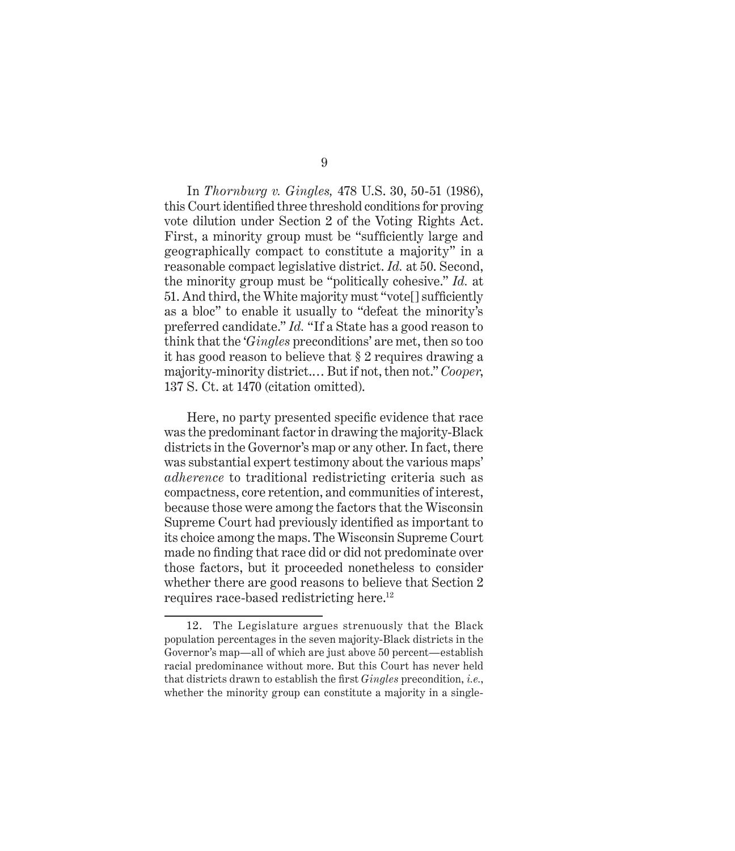In *Thornburg v. Gingles,* 478 U.S. 30, 50-51 (1986), this Court identified three threshold conditions for proving vote dilution under Section 2 of the Voting Rights Act. First, a minority group must be "sufficiently large and geographically compact to constitute a majority" in a reasonable compact legislative district. *Id.* at 50. Second, the minority group must be "politically cohesive." *Id.* at 51. And third, the White majority must "vote[] sufficiently as a bloc" to enable it usually to "defeat the minority's preferred candidate." *Id.* "If a State has a good reason to think that the '*Gingles* preconditions' are met, then so too it has good reason to believe that § 2 requires drawing a majority-minority district.… But if not, then not." *Cooper*, 137 S. Ct. at 1470 (citation omitted).

Here, no party presented specific evidence that race was the predominant factor in drawing the majority-Black districts in the Governor's map or any other. In fact, there was substantial expert testimony about the various maps' *adherence* to traditional redistricting criteria such as compactness, core retention, and communities of interest, because those were among the factors that the Wisconsin Supreme Court had previously identified as important to its choice among the maps. The Wisconsin Supreme Court made no finding that race did or did not predominate over those factors, but it proceeded nonetheless to consider whether there are good reasons to believe that Section 2 requires race-based redistricting here.12

<sup>12.</sup> The Legislature argues strenuously that the Black population percentages in the seven majority-Black districts in the Governor's map—all of which are just above 50 percent—establish racial predominance without more. But this Court has never held that districts drawn to establish the first *Gingles* precondition, *i.e.*, whether the minority group can constitute a majority in a single-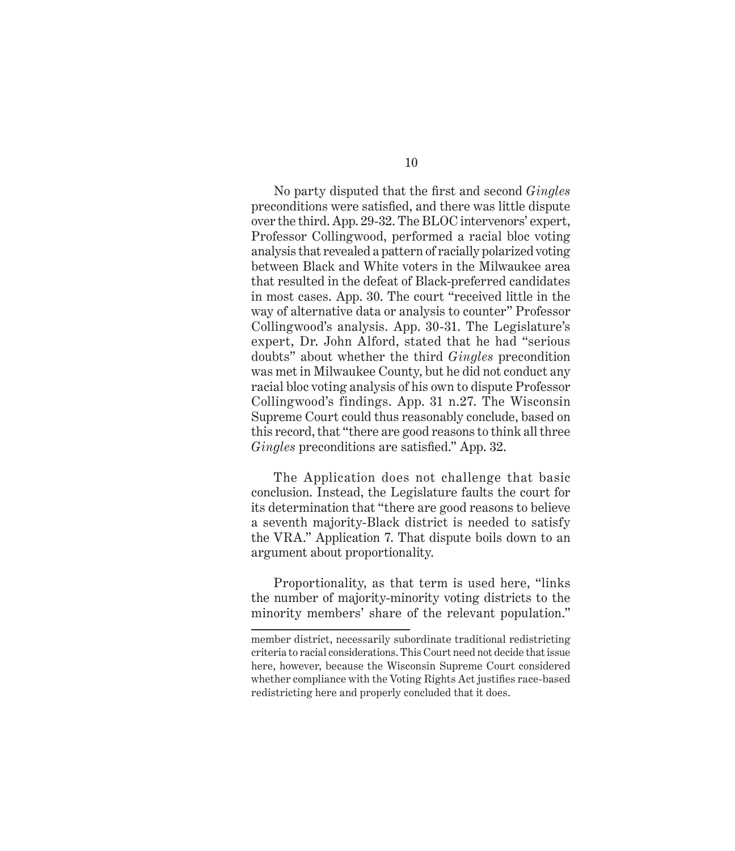No party disputed that the first and second *Gingles* preconditions were satisfied, and there was little dispute over the third. App. 29-32. The BLOC intervenors' expert, Professor Collingwood, performed a racial bloc voting analysis that revealed a pattern of racially polarized voting between Black and White voters in the Milwaukee area that resulted in the defeat of Black-preferred candidates in most cases. App. 30. The court "received little in the way of alternative data or analysis to counter" Professor Collingwood's analysis. App. 30-31. The Legislature's expert, Dr. John Alford, stated that he had "serious doubts" about whether the third *Gingles* precondition was met in Milwaukee County, but he did not conduct any racial bloc voting analysis of his own to dispute Professor Collingwood's findings. App. 31 n.27. The Wisconsin Supreme Court could thus reasonably conclude, based on this record, that "there are good reasons to think all three *Gingles* preconditions are satisfied." App. 32.

The Application does not challenge that basic conclusion. Instead, the Legislature faults the court for its determination that "there are good reasons to believe a seventh majority-Black district is needed to satisfy the VRA." Application 7. That dispute boils down to an argument about proportionality.

Proportionality, as that term is used here, "links the number of majority-minority voting districts to the minority members' share of the relevant population."

member district, necessarily subordinate traditional redistricting criteria to racial considerations. This Court need not decide that issue here, however, because the Wisconsin Supreme Court considered whether compliance with the Voting Rights Act justifies race-based redistricting here and properly concluded that it does.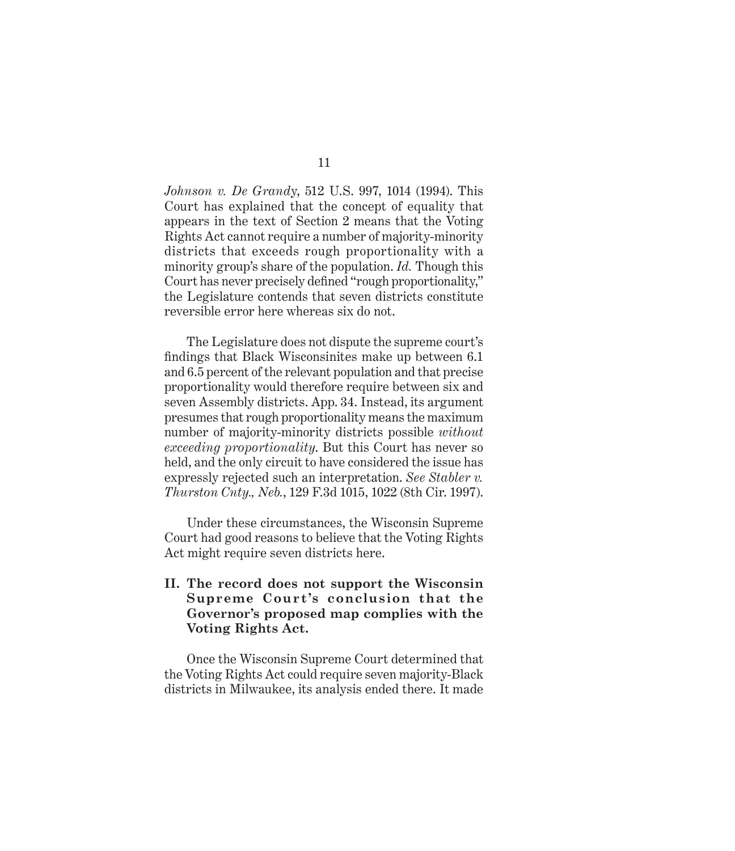*Johnson v. De Grand*y, 512 U.S. 997, 1014 (1994). This Court has explained that the concept of equality that appears in the text of Section 2 means that the Voting Rights Act cannot require a number of majority-minority districts that exceeds rough proportionality with a minority group's share of the population. *Id.* Though this Court has never precisely defined "rough proportionality," the Legislature contends that seven districts constitute reversible error here whereas six do not.

The Legislature does not dispute the supreme court's findings that Black Wisconsinites make up between 6.1 and 6.5 percent of the relevant population and that precise proportionality would therefore require between six and seven Assembly districts. App. 34. Instead, its argument presumes that rough proportionality means the maximum number of majority-minority districts possible *without exceeding proportionality*. But this Court has never so held, and the only circuit to have considered the issue has expressly rejected such an interpretation. *See Stabler v. Thurston Cnty., Neb.*, 129 F.3d 1015, 1022 (8th Cir. 1997).

Under these circumstances, the Wisconsin Supreme Court had good reasons to believe that the Voting Rights Act might require seven districts here.

#### **II. The record does not support the Wisconsin Supreme Court's conclusion that the Governor's proposed map complies with the Voting Rights Act.**

Once the Wisconsin Supreme Court determined that the Voting Rights Act could require seven majority-Black districts in Milwaukee, its analysis ended there. It made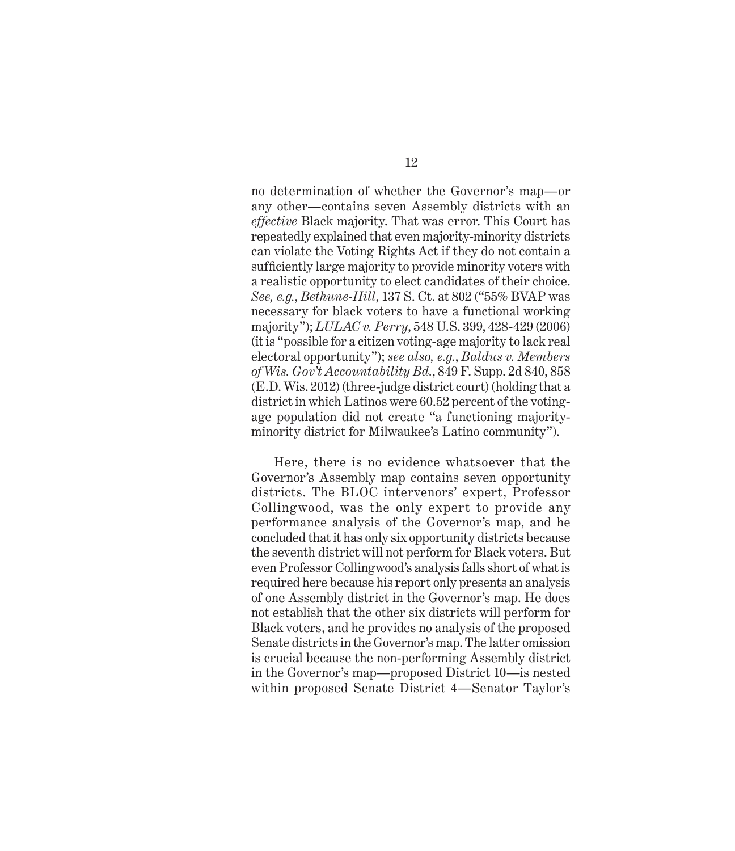no determination of whether the Governor's map—or any other—contains seven Assembly districts with an *effective* Black majority. That was error. This Court has repeatedly explained that even majority-minority districts can violate the Voting Rights Act if they do not contain a sufficiently large majority to provide minority voters with a realistic opportunity to elect candidates of their choice. *See, e.g.*, *Bethune-Hill*, 137 S. Ct. at 802 ("55% BVAP was necessary for black voters to have a functional working majority"); *LULAC v. Perry*, 548 U.S. 399, 428-429 (2006) (it is "possible for a citizen voting-age majority to lack real electoral opportunity"); *see also, e.g.*, *Baldus v. Members of Wis. Gov't Accountability Bd.*, 849 F. Supp. 2d 840, 858 (E.D. Wis. 2012) (three-judge district court) (holding that a district in which Latinos were 60.52 percent of the votingage population did not create "a functioning majorityminority district for Milwaukee's Latino community").

Here, there is no evidence whatsoever that the Governor's Assembly map contains seven opportunity districts. The BLOC intervenors' expert, Professor Collingwood, was the only expert to provide any performance analysis of the Governor's map, and he concluded that it has only six opportunity districts because the seventh district will not perform for Black voters. But even Professor Collingwood's analysis falls short of what is required here because his report only presents an analysis of one Assembly district in the Governor's map. He does not establish that the other six districts will perform for Black voters, and he provides no analysis of the proposed Senate districts in the Governor's map. The latter omission is crucial because the non-performing Assembly district in the Governor's map—proposed District 10—is nested within proposed Senate District 4—Senator Taylor's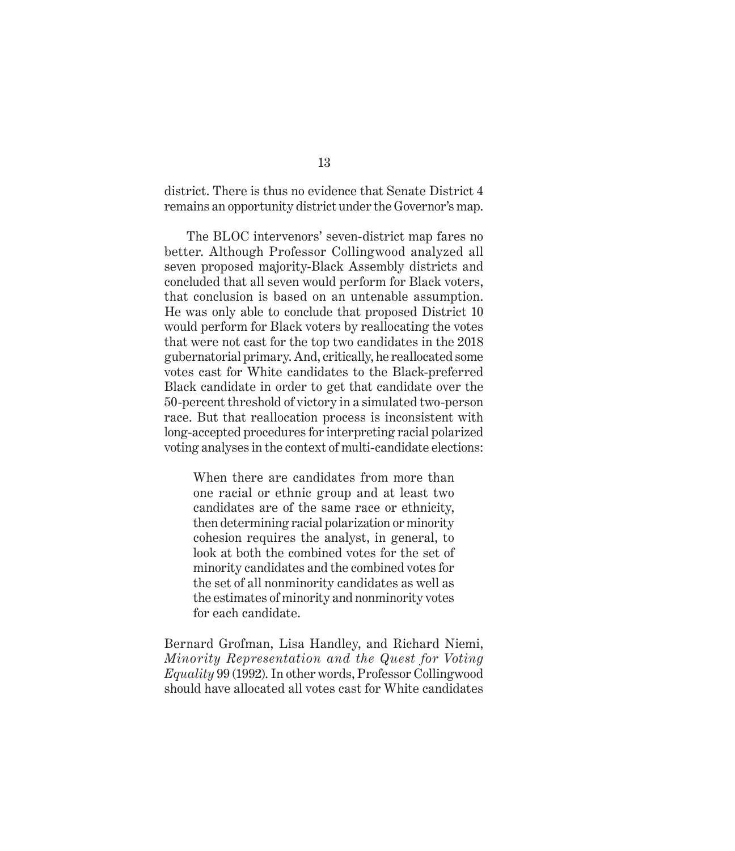district. There is thus no evidence that Senate District 4 remains an opportunity district under the Governor's map.

The BLOC intervenors' seven-district map fares no better. Although Professor Collingwood analyzed all seven proposed majority-Black Assembly districts and concluded that all seven would perform for Black voters, that conclusion is based on an untenable assumption. He was only able to conclude that proposed District 10 would perform for Black voters by reallocating the votes that were not cast for the top two candidates in the 2018 gubernatorial primary. And, critically, he reallocated some votes cast for White candidates to the Black-preferred Black candidate in order to get that candidate over the 50-percent threshold of victory in a simulated two-person race. But that reallocation process is inconsistent with long-accepted procedures for interpreting racial polarized voting analyses in the context of multi-candidate elections:

When there are candidates from more than one racial or ethnic group and at least two candidates are of the same race or ethnicity, then determining racial polarization or minority cohesion requires the analyst, in general, to look at both the combined votes for the set of minority candidates and the combined votes for the set of all nonminority candidates as well as the estimates of minority and nonminority votes for each candidate.

Bernard Grofman, Lisa Handley, and Richard Niemi, *Minority Representation and the Quest for Voting Equality* 99 (1992). In other words, Professor Collingwood should have allocated all votes cast for White candidates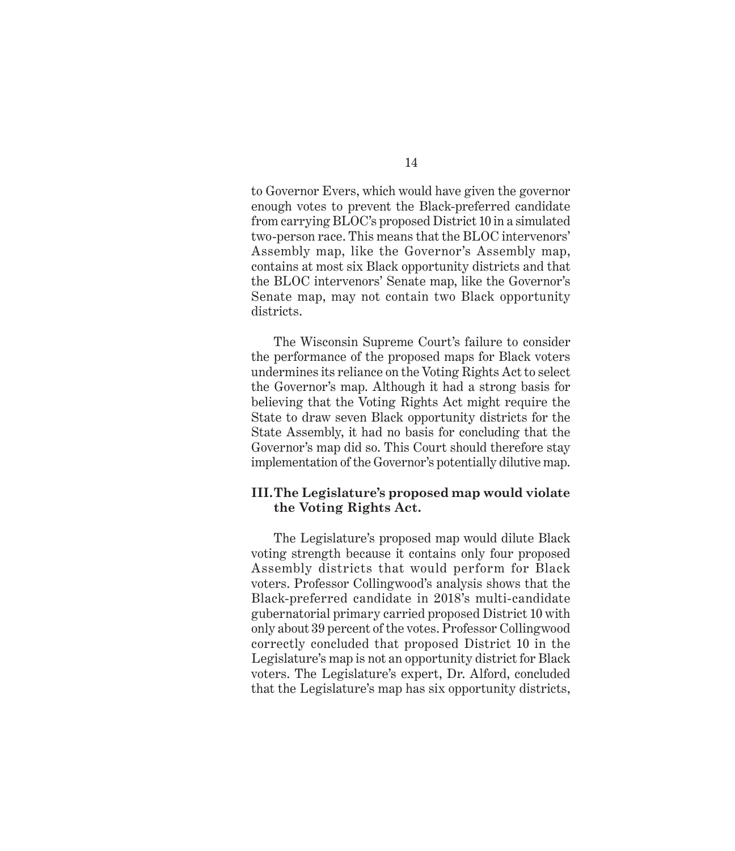to Governor Evers, which would have given the governor enough votes to prevent the Black-preferred candidate from carrying BLOC's proposed District 10 in a simulated two-person race. This means that the BLOC intervenors' Assembly map, like the Governor's Assembly map, contains at most six Black opportunity districts and that the BLOC intervenors' Senate map, like the Governor's Senate map, may not contain two Black opportunity districts.

The Wisconsin Supreme Court's failure to consider the performance of the proposed maps for Black voters undermines its reliance on the Voting Rights Act to select the Governor's map. Although it had a strong basis for believing that the Voting Rights Act might require the State to draw seven Black opportunity districts for the State Assembly, it had no basis for concluding that the Governor's map did so. This Court should therefore stay implementation of the Governor's potentially dilutive map.

#### **III.The Legislature's proposed map would violate the Voting Rights Act.**

The Legislature's proposed map would dilute Black voting strength because it contains only four proposed Assembly districts that would perform for Black voters. Professor Collingwood's analysis shows that the Black-preferred candidate in 2018's multi-candidate gubernatorial primary carried proposed District 10 with only about 39 percent of the votes. Professor Collingwood correctly concluded that proposed District 10 in the Legislature's map is not an opportunity district for Black voters. The Legislature's expert, Dr. Alford, concluded that the Legislature's map has six opportunity districts,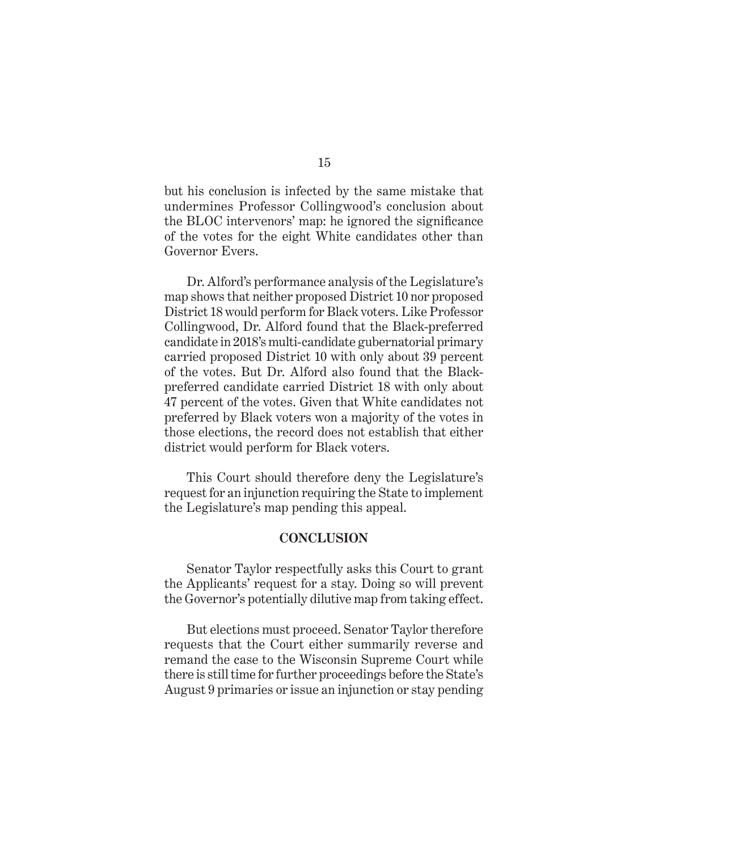but his conclusion is infected by the same mistake that undermines Professor Collingwood's conclusion about the BLOC intervenors' map: he ignored the significance of the votes for the eight White candidates other than Governor Evers.

Dr. Alford's performance analysis of the Legislature's map shows that neither proposed District 10 nor proposed District 18 would perform for Black voters. Like Professor Collingwood, Dr. Alford found that the Black-preferred candidate in 2018's multi-candidate gubernatorial primary carried proposed District 10 with only about 39 percent of the votes. But Dr. Alford also found that the Blackpreferred candidate carried District 18 with only about 47 percent of the votes. Given that White candidates not preferred by Black voters won a majority of the votes in those elections, the record does not establish that either district would perform for Black voters.

This Court should therefore deny the Legislature's request for an injunction requiring the State to implement the Legislature's map pending this appeal.

#### **CONCLUSION**

Senator Taylor respectfully asks this Court to grant the Applicants' request for a stay. Doing so will prevent the Governor's potentially dilutive map from taking effect.

But elections must proceed. Senator Taylor therefore requests that the Court either summarily reverse and remand the case to the Wisconsin Supreme Court while there is still time for further proceedings before the State's August 9 primaries or issue an injunction or stay pending